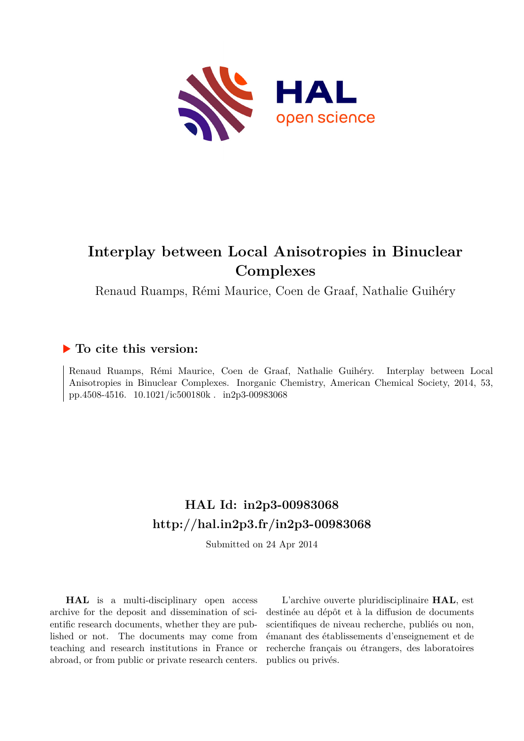

# **Interplay between Local Anisotropies in Binuclear Complexes**

Renaud Ruamps, Rémi Maurice, Coen de Graaf, Nathalie Guihéry

## **To cite this version:**

Renaud Ruamps, Rémi Maurice, Coen de Graaf, Nathalie Guihéry. Interplay between Local Anisotropies in Binuclear Complexes. Inorganic Chemistry, American Chemical Society, 2014, 53, pp.4508-4516. 10.1021/ic500180k. in2p3-00983068

# **HAL Id: in2p3-00983068 <http://hal.in2p3.fr/in2p3-00983068>**

Submitted on 24 Apr 2014

**HAL** is a multi-disciplinary open access archive for the deposit and dissemination of scientific research documents, whether they are published or not. The documents may come from teaching and research institutions in France or abroad, or from public or private research centers.

L'archive ouverte pluridisciplinaire **HAL**, est destinée au dépôt et à la diffusion de documents scientifiques de niveau recherche, publiés ou non, émanant des établissements d'enseignement et de recherche français ou étrangers, des laboratoires publics ou privés.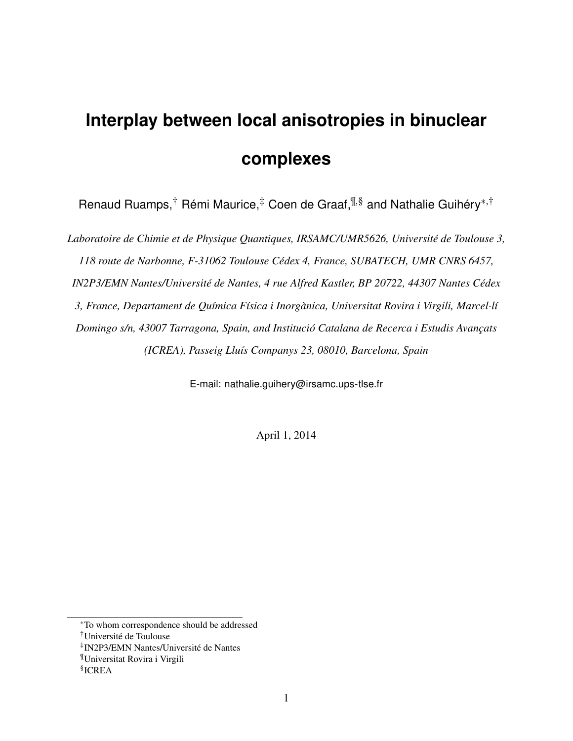# **Interplay between local anisotropies in binuclear complexes**

Renaud Ruamps,<sup>†</sup> Rémi Maurice,<sup>‡</sup> Coen de Graaf,<sup>¶,§</sup> and Nathalie Guihéry<sup>∗,†</sup>

*Laboratoire de Chimie et de Physique Quantiques, IRSAMC/UMR5626, Université de Toulouse 3, 118 route de Narbonne, F-31062 Toulouse Cédex 4, France, SUBATECH, UMR CNRS 6457, IN2P3/EMN Nantes/Université de Nantes, 4 rue Alfred Kastler, BP 20722, 44307 Nantes Cédex 3, France, Departament de Química Física i Inorgànica, Universitat Rovira i Virgili, Marcel*·*lí Domingo s/n, 43007 Tarragona, Spain, and Institució Catalana de Recerca i Estudis Avançats (ICREA), Passeig Lluís Companys 23, 08010, Barcelona, Spain*

E-mail: nathalie.guihery@irsamc.ups-tlse.fr

April 1, 2014

<sup>∗</sup>To whom correspondence should be addressed

<sup>†</sup>Université de Toulouse

<sup>‡</sup> IN2P3/EMN Nantes/Université de Nantes

<sup>¶</sup>Universitat Rovira i Virgili

<sup>§</sup> ICREA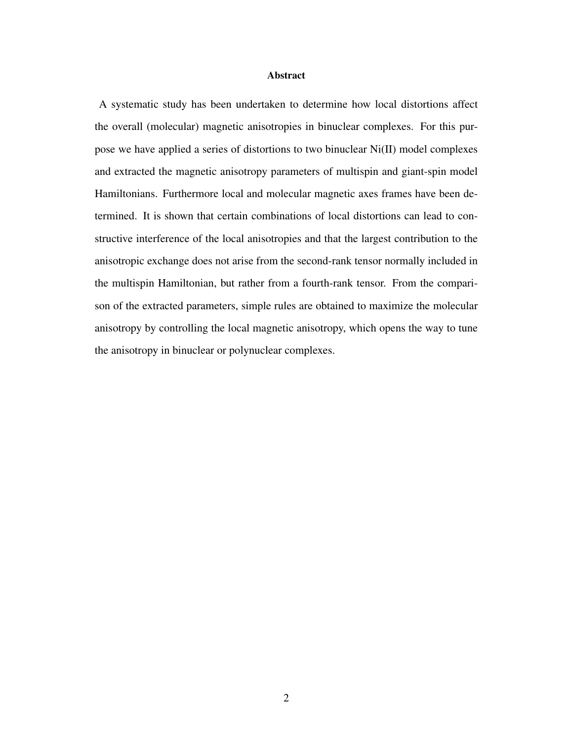#### Abstract

A systematic study has been undertaken to determine how local distortions affect the overall (molecular) magnetic anisotropies in binuclear complexes. For this purpose we have applied a series of distortions to two binuclear Ni(II) model complexes and extracted the magnetic anisotropy parameters of multispin and giant-spin model Hamiltonians. Furthermore local and molecular magnetic axes frames have been determined. It is shown that certain combinations of local distortions can lead to constructive interference of the local anisotropies and that the largest contribution to the anisotropic exchange does not arise from the second-rank tensor normally included in the multispin Hamiltonian, but rather from a fourth-rank tensor. From the comparison of the extracted parameters, simple rules are obtained to maximize the molecular anisotropy by controlling the local magnetic anisotropy, which opens the way to tune the anisotropy in binuclear or polynuclear complexes.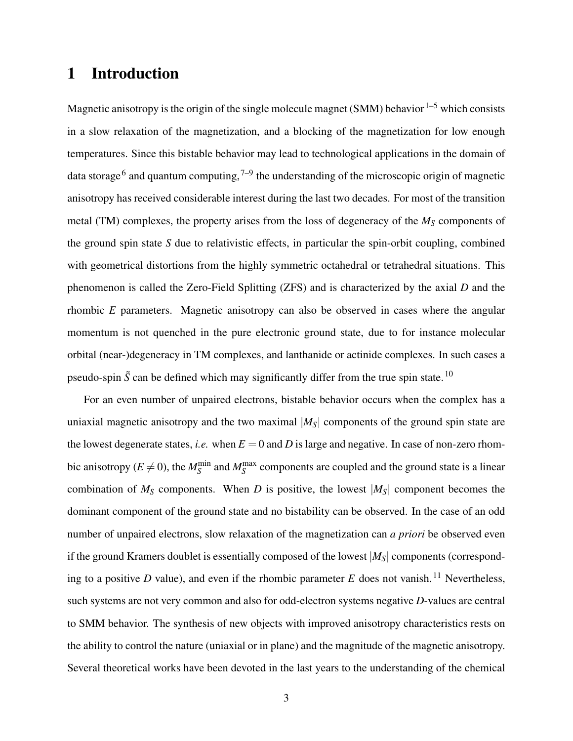# 1 Introduction

Magnetic anisotropy is the origin of the single molecule magnet (SMM) behavior  $1-5$  which consists in a slow relaxation of the magnetization, and a blocking of the magnetization for low enough temperatures. Since this bistable behavior may lead to technological applications in the domain of data storage<sup>6</sup> and quantum computing,  $7-9$  the understanding of the microscopic origin of magnetic anisotropy has received considerable interest during the last two decades. For most of the transition metal (TM) complexes, the property arises from the loss of degeneracy of the  $M<sub>S</sub>$  components of the ground spin state *S* due to relativistic effects, in particular the spin-orbit coupling, combined with geometrical distortions from the highly symmetric octahedral or tetrahedral situations. This phenomenon is called the Zero-Field Splitting (ZFS) and is characterized by the axial *D* and the rhombic *E* parameters. Magnetic anisotropy can also be observed in cases where the angular momentum is not quenched in the pure electronic ground state, due to for instance molecular orbital (near-)degeneracy in TM complexes, and lanthanide or actinide complexes. In such cases a pseudo-spin  $\tilde{S}$  can be defined which may significantly differ from the true spin state.<sup>10</sup>

For an even number of unpaired electrons, bistable behavior occurs when the complex has a uniaxial magnetic anisotropy and the two maximal  $|M<sub>S</sub>|$  components of the ground spin state are the lowest degenerate states, *i.e.* when  $E = 0$  and *D* is large and negative. In case of non-zero rhombic anisotropy ( $E \neq 0$ ), the  $M_S^{\text{min}}$  and  $M_S^{\text{max}}$  components are coupled and the ground state is a linear combination of  $M<sub>S</sub>$  components. When *D* is positive, the lowest  $|M<sub>S</sub>|$  component becomes the dominant component of the ground state and no bistability can be observed. In the case of an odd number of unpaired electrons, slow relaxation of the magnetization can *a priori* be observed even if the ground Kramers doublet is essentially composed of the lowest |*MS*| components (corresponding to a positive  $D$  value), and even if the rhombic parameter  $E$  does not vanish.<sup>11</sup> Nevertheless, such systems are not very common and also for odd-electron systems negative *D*-values are central to SMM behavior. The synthesis of new objects with improved anisotropy characteristics rests on the ability to control the nature (uniaxial or in plane) and the magnitude of the magnetic anisotropy. Several theoretical works have been devoted in the last years to the understanding of the chemical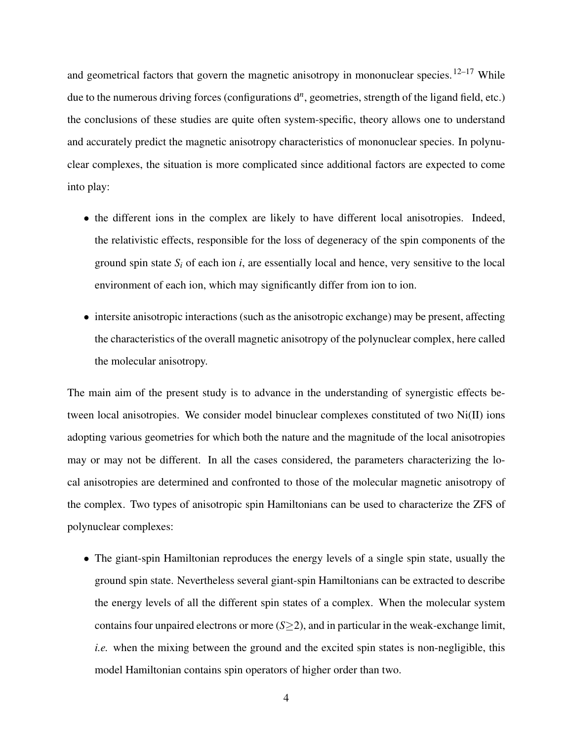and geometrical factors that govern the magnetic anisotropy in mononuclear species.<sup>12–17</sup> While due to the numerous driving forces (configurations d<sup>n</sup>, geometries, strength of the ligand field, etc.) the conclusions of these studies are quite often system-specific, theory allows one to understand and accurately predict the magnetic anisotropy characteristics of mononuclear species. In polynuclear complexes, the situation is more complicated since additional factors are expected to come into play:

- the different ions in the complex are likely to have different local anisotropies. Indeed, the relativistic effects, responsible for the loss of degeneracy of the spin components of the ground spin state  $S_i$  of each ion  $i$ , are essentially local and hence, very sensitive to the local environment of each ion, which may significantly differ from ion to ion.
- intersite anisotropic interactions (such as the anisotropic exchange) may be present, affecting the characteristics of the overall magnetic anisotropy of the polynuclear complex, here called the molecular anisotropy.

The main aim of the present study is to advance in the understanding of synergistic effects between local anisotropies. We consider model binuclear complexes constituted of two Ni(II) ions adopting various geometries for which both the nature and the magnitude of the local anisotropies may or may not be different. In all the cases considered, the parameters characterizing the local anisotropies are determined and confronted to those of the molecular magnetic anisotropy of the complex. Two types of anisotropic spin Hamiltonians can be used to characterize the ZFS of polynuclear complexes:

• The giant-spin Hamiltonian reproduces the energy levels of a single spin state, usually the ground spin state. Nevertheless several giant-spin Hamiltonians can be extracted to describe the energy levels of all the different spin states of a complex. When the molecular system contains four unpaired electrons or more  $(S \geq 2)$ , and in particular in the weak-exchange limit, *i.e.* when the mixing between the ground and the excited spin states is non-negligible, this model Hamiltonian contains spin operators of higher order than two.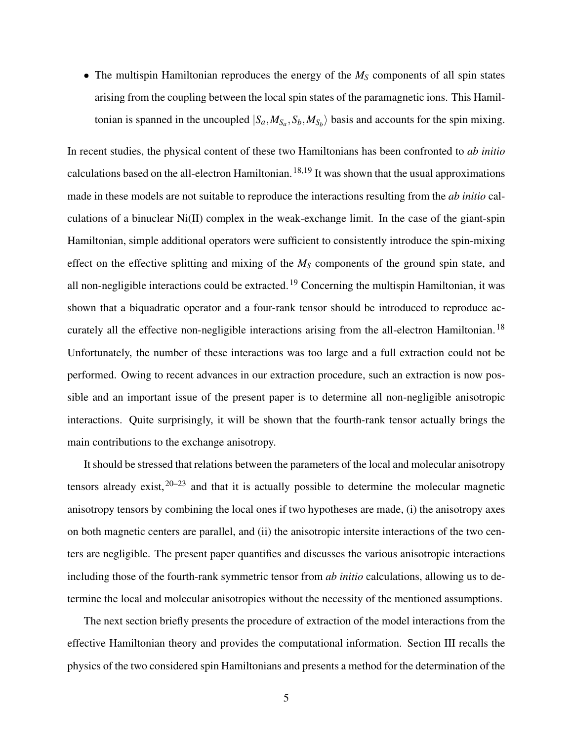• The multispin Hamiltonian reproduces the energy of the  $M<sub>S</sub>$  components of all spin states arising from the coupling between the local spin states of the paramagnetic ions. This Hamiltonian is spanned in the uncoupled  $|S_a, M_{S_a}, S_b, M_{S_b}\rangle$  basis and accounts for the spin mixing.

In recent studies, the physical content of these two Hamiltonians has been confronted to *ab initio* calculations based on the all-electron Hamiltonian.<sup>18,19</sup> It was shown that the usual approximations made in these models are not suitable to reproduce the interactions resulting from the *ab initio* calculations of a binuclear Ni(II) complex in the weak-exchange limit. In the case of the giant-spin Hamiltonian, simple additional operators were sufficient to consistently introduce the spin-mixing effect on the effective splitting and mixing of the  $M<sub>S</sub>$  components of the ground spin state, and all non-negligible interactions could be extracted.<sup>19</sup> Concerning the multispin Hamiltonian, it was shown that a biquadratic operator and a four-rank tensor should be introduced to reproduce accurately all the effective non-negligible interactions arising from the all-electron Hamiltonian.<sup>18</sup> Unfortunately, the number of these interactions was too large and a full extraction could not be performed. Owing to recent advances in our extraction procedure, such an extraction is now possible and an important issue of the present paper is to determine all non-negligible anisotropic interactions. Quite surprisingly, it will be shown that the fourth-rank tensor actually brings the main contributions to the exchange anisotropy.

It should be stressed that relations between the parameters of the local and molecular anisotropy tensors already exist,  $20-23$  and that it is actually possible to determine the molecular magnetic anisotropy tensors by combining the local ones if two hypotheses are made, (i) the anisotropy axes on both magnetic centers are parallel, and (ii) the anisotropic intersite interactions of the two centers are negligible. The present paper quantifies and discusses the various anisotropic interactions including those of the fourth-rank symmetric tensor from *ab initio* calculations, allowing us to determine the local and molecular anisotropies without the necessity of the mentioned assumptions.

The next section briefly presents the procedure of extraction of the model interactions from the effective Hamiltonian theory and provides the computational information. Section III recalls the physics of the two considered spin Hamiltonians and presents a method for the determination of the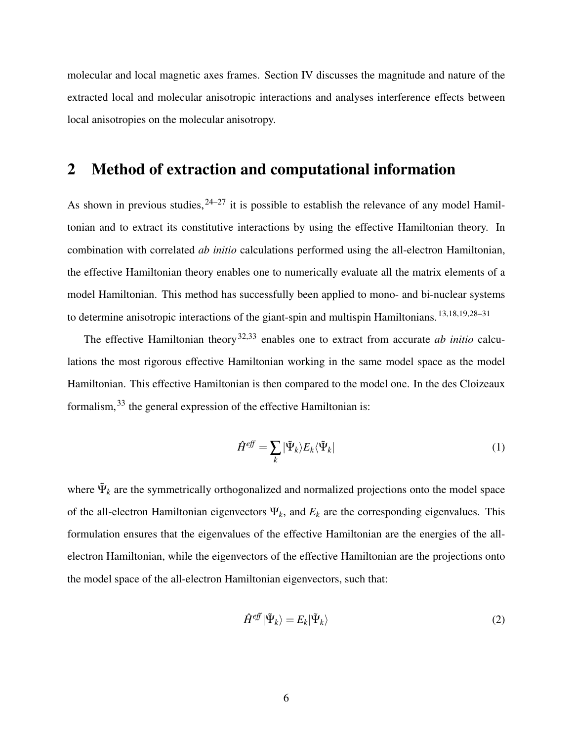molecular and local magnetic axes frames. Section IV discusses the magnitude and nature of the extracted local and molecular anisotropic interactions and analyses interference effects between local anisotropies on the molecular anisotropy.

# 2 Method of extraction and computational information

As shown in previous studies,  $24-27$  it is possible to establish the relevance of any model Hamiltonian and to extract its constitutive interactions by using the effective Hamiltonian theory. In combination with correlated *ab initio* calculations performed using the all-electron Hamiltonian, the effective Hamiltonian theory enables one to numerically evaluate all the matrix elements of a model Hamiltonian. This method has successfully been applied to mono- and bi-nuclear systems to determine anisotropic interactions of the giant-spin and multispin Hamiltonians.<sup>13,18,19,28–31</sup>

The effective Hamiltonian theory<sup>32,33</sup> enables one to extract from accurate *ab initio* calculations the most rigorous effective Hamiltonian working in the same model space as the model Hamiltonian. This effective Hamiltonian is then compared to the model one. In the des Cloizeaux formalism,<sup>33</sup> the general expression of the effective Hamiltonian is:

$$
\hat{H}^{eff} = \sum_{k} |\tilde{\Psi}_{k}\rangle E_{k}\langle \tilde{\Psi}_{k}| \tag{1}
$$

where  $\Psi_k$  are the symmetrically orthogonalized and normalized projections onto the model space of the all-electron Hamiltonian eigenvectors  $\Psi_k$ , and  $E_k$  are the corresponding eigenvalues. This formulation ensures that the eigenvalues of the effective Hamiltonian are the energies of the allelectron Hamiltonian, while the eigenvectors of the effective Hamiltonian are the projections onto the model space of the all-electron Hamiltonian eigenvectors, such that:

$$
\hat{H}^{eff}|\tilde{\Psi}_k\rangle = E_k|\tilde{\Psi}_k\rangle
$$
\n(2)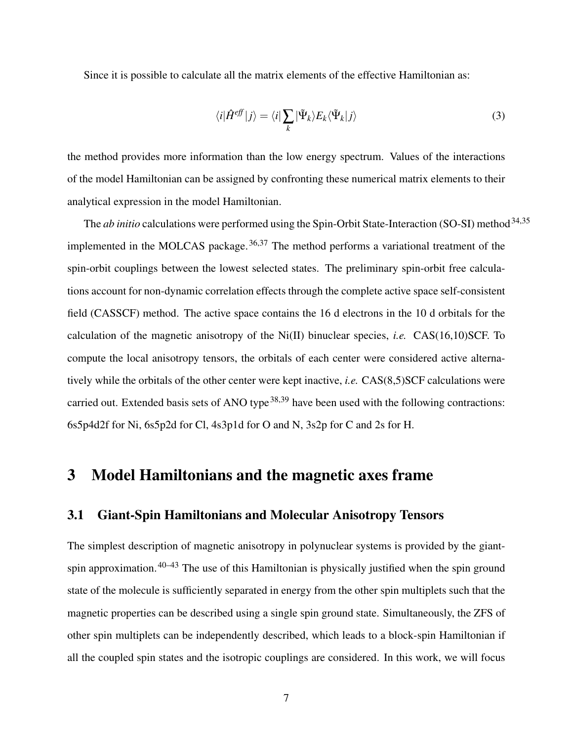Since it is possible to calculate all the matrix elements of the effective Hamiltonian as:

$$
\langle i|\hat{H}^{eff}|j\rangle = \langle i|\sum_{k}|\tilde{\Psi}_{k}\rangle E_{k}\langle\tilde{\Psi}_{k}|j\rangle
$$
\n(3)

the method provides more information than the low energy spectrum. Values of the interactions of the model Hamiltonian can be assigned by confronting these numerical matrix elements to their analytical expression in the model Hamiltonian.

The *ab initio* calculations were performed using the Spin-Orbit State-Interaction (SO-SI) method<sup>34,35</sup> implemented in the MOLCAS package.<sup>36,37</sup> The method performs a variational treatment of the spin-orbit couplings between the lowest selected states. The preliminary spin-orbit free calculations account for non-dynamic correlation effects through the complete active space self-consistent field (CASSCF) method. The active space contains the 16 d electrons in the 10 d orbitals for the calculation of the magnetic anisotropy of the Ni(II) binuclear species, *i.e.* CAS(16,10)SCF. To compute the local anisotropy tensors, the orbitals of each center were considered active alternatively while the orbitals of the other center were kept inactive, *i.e.* CAS(8,5)SCF calculations were carried out. Extended basis sets of ANO type<sup>38,39</sup> have been used with the following contractions: 6s5p4d2f for Ni, 6s5p2d for Cl, 4s3p1d for O and N, 3s2p for C and 2s for H.

# 3 Model Hamiltonians and the magnetic axes frame

#### 3.1 Giant-Spin Hamiltonians and Molecular Anisotropy Tensors

The simplest description of magnetic anisotropy in polynuclear systems is provided by the giantspin approximation.<sup>40–43</sup> The use of this Hamiltonian is physically justified when the spin ground state of the molecule is sufficiently separated in energy from the other spin multiplets such that the magnetic properties can be described using a single spin ground state. Simultaneously, the ZFS of other spin multiplets can be independently described, which leads to a block-spin Hamiltonian if all the coupled spin states and the isotropic couplings are considered. In this work, we will focus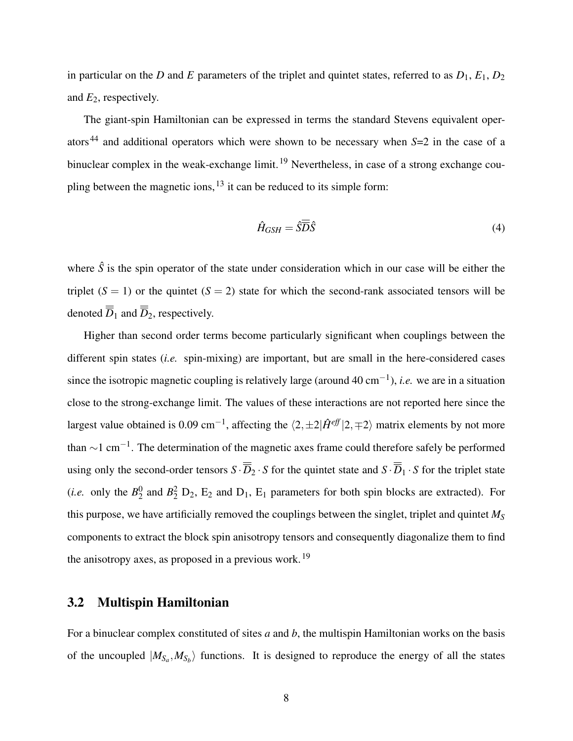in particular on the *D* and *E* parameters of the triplet and quintet states, referred to as  $D_1$ ,  $E_1$ ,  $D_2$ and *E*2, respectively.

The giant-spin Hamiltonian can be expressed in terms the standard Stevens equivalent operators<sup>44</sup> and additional operators which were shown to be necessary when *S*=2 in the case of a binuclear complex in the weak-exchange limit.<sup>19</sup> Nevertheless, in case of a strong exchange coupling between the magnetic ions,  $^{13}$  it can be reduced to its simple form:

$$
\hat{H}_{GSH} = \hat{S}\overline{\overline{D}}\hat{S} \tag{4}
$$

where  $\hat{S}$  is the spin operator of the state under consideration which in our case will be either the triplet  $(S = 1)$  or the quintet  $(S = 2)$  state for which the second-rank associated tensors will be denoted  $\overline{D}_1$  and  $\overline{D}_2$ , respectively.

Higher than second order terms become particularly significant when couplings between the different spin states (*i.e.* spin-mixing) are important, but are small in the here-considered cases since the isotropic magnetic coupling is relatively large (around 40 cm−<sup>1</sup> ), *i.e.* we are in a situation close to the strong-exchange limit. The values of these interactions are not reported here since the largest value obtained is 0.09 cm<sup>-1</sup>, affecting the  $\langle 2, \pm 2|\hat{H}^{eff}|2,\mp 2\rangle$  matrix elements by not more than  $\sim$ 1 cm<sup>-1</sup>. The determination of the magnetic axes frame could therefore safely be performed using only the second-order tensors  $S \cdot \overline{B}_2 \cdot S$  for the quintet state and  $S \cdot \overline{B}_1 \cdot S$  for the triplet state (*i.e.* only the  $B_2^0$  $^{0}_{2}$  and  $B^{2}_{2}$  D<sub>2</sub>, E<sub>2</sub> and D<sub>1</sub>, E<sub>1</sub> parameters for both spin blocks are extracted). For this purpose, we have artificially removed the couplings between the singlet, triplet and quintet *M<sup>S</sup>* components to extract the block spin anisotropy tensors and consequently diagonalize them to find the anisotropy axes, as proposed in a previous work.<sup>19</sup>

#### 3.2 Multispin Hamiltonian

For a binuclear complex constituted of sites *a* and *b*, the multispin Hamiltonian works on the basis of the uncoupled  $|M_{S_a}, M_{S_b}\rangle$  functions. It is designed to reproduce the energy of all the states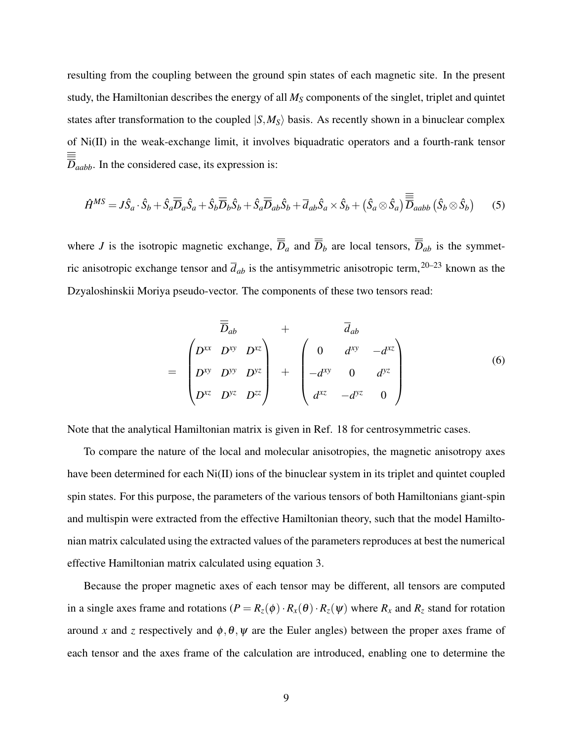resulting from the coupling between the ground spin states of each magnetic site. In the present study, the Hamiltonian describes the energy of all  $M<sub>S</sub>$  components of the singlet, triplet and quintet states after transformation to the coupled  $|S, M_S\rangle$  basis. As recently shown in a binuclear complex of Ni(II) in the weak-exchange limit, it involves biquadratic operators and a fourth-rank tensor  $\overline{\overline{D}}_{aabb}$ . In the considered case, its expression is:

$$
\hat{H}^{MS} = J\hat{S}_a \cdot \hat{S}_b + \hat{S}_a \overline{\overline{D}}_a \hat{S}_a + \hat{S}_b \overline{\overline{D}}_b \hat{S}_b + \hat{S}_a \overline{\overline{D}}_{ab} \hat{S}_b + \overline{d}_{ab} \hat{S}_a \times \hat{S}_b + (\hat{S}_a \otimes \hat{S}_a) \overline{\overline{\overline{D}}}_{aabb} (\hat{S}_b \otimes \hat{S}_b)
$$
(5)

where *J* is the isotropic magnetic exchange,  $\overline{D}_a$  and  $\overline{D}_b$  are local tensors,  $\overline{D}_{ab}$  is the symmetric anisotropic exchange tensor and  $\overline{d}_{ab}$  is the antisymmetric anisotropic term,<sup>20–23</sup> known as the Dzyaloshinskii Moriya pseudo-vector. The components of these two tensors read:

$$
\overline{D}_{ab} + \overline{d}_{ab}
$$
\n
$$
= \begin{pmatrix}\nD^{xx} & D^{xy} & D^{xz} \\
D^{xy} & D^{yy} & D^{yz} \\
D^{xz} & D^{yz} & D^{zz}\n\end{pmatrix} + \begin{pmatrix}\n0 & d^{xy} & -d^{xz} \\
-d^{xy} & 0 & d^{yz} \\
d^{xz} & -d^{yz} & 0\n\end{pmatrix}
$$
\n(6)

Note that the analytical Hamiltonian matrix is given in Ref. 18 for centrosymmetric cases.

=

To compare the nature of the local and molecular anisotropies, the magnetic anisotropy axes have been determined for each Ni(II) ions of the binuclear system in its triplet and quintet coupled spin states. For this purpose, the parameters of the various tensors of both Hamiltonians giant-spin and multispin were extracted from the effective Hamiltonian theory, such that the model Hamiltonian matrix calculated using the extracted values of the parameters reproduces at best the numerical effective Hamiltonian matrix calculated using equation 3.

Because the proper magnetic axes of each tensor may be different, all tensors are computed in a single axes frame and rotations  $(P = R_z(\phi) \cdot R_x(\theta) \cdot R_z(\psi)$  where  $R_x$  and  $R_z$  stand for rotation around *x* and *z* respectively and  $\phi$ ,  $\theta$ ,  $\psi$  are the Euler angles) between the proper axes frame of each tensor and the axes frame of the calculation are introduced, enabling one to determine the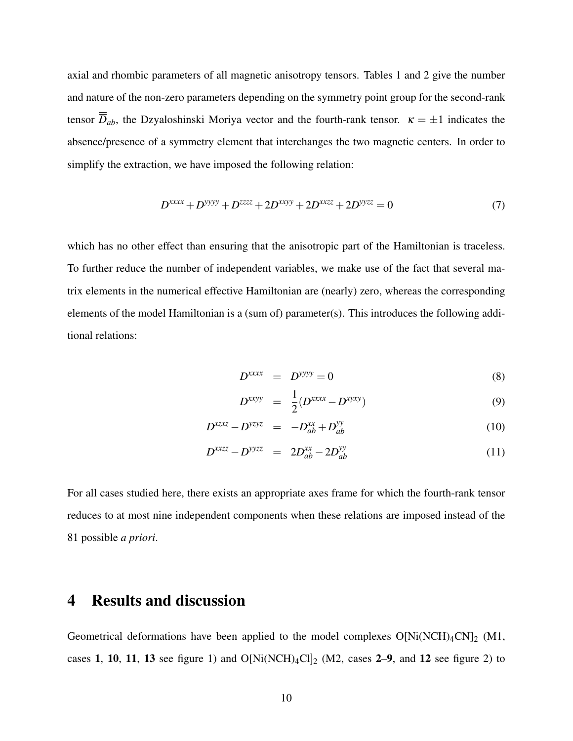axial and rhombic parameters of all magnetic anisotropy tensors. Tables 1 and 2 give the number and nature of the non-zero parameters depending on the symmetry point group for the second-rank tensor  $\overline{D}_{ab}$ , the Dzyaloshinski Moriya vector and the fourth-rank tensor.  $\kappa = \pm 1$  indicates the absence/presence of a symmetry element that interchanges the two magnetic centers. In order to simplify the extraction, we have imposed the following relation:

$$
D^{xxxx} + D^{yyyy} + D^{zzzz} + 2D^{xxyy} + 2D^{xxzz} + 2D^{yyzz} = 0
$$
\n(7)

which has no other effect than ensuring that the anisotropic part of the Hamiltonian is traceless. To further reduce the number of independent variables, we make use of the fact that several matrix elements in the numerical effective Hamiltonian are (nearly) zero, whereas the corresponding elements of the model Hamiltonian is a (sum of) parameter(s). This introduces the following additional relations:

$$
D^{xxxx} = D^{yyy} = 0 \tag{8}
$$

$$
D^{xxyy} = \frac{1}{2}(D^{xxxx} - D^{xyxy})
$$
\n(9)

$$
D^{xzxz} - D^{yzyz} = -D_{ab}^{xx} + D_{ab}^{yy}
$$
\n
$$
(10)
$$

$$
D^{xxzz} - D^{yyzz} = 2D_{ab}^{xx} - 2D_{ab}^{yy} \tag{11}
$$

For all cases studied here, there exists an appropriate axes frame for which the fourth-rank tensor reduces to at most nine independent components when these relations are imposed instead of the 81 possible *a priori*.

## 4 Results and discussion

Geometrical deformations have been applied to the model complexes  $O[Ni(NCH)<sub>4</sub>CN]<sub>2</sub> (M1,$ cases 1, 10, 11, 13 see figure 1) and  $O[Ni(NCH)_4Cl]_2$  (M2, cases 2–9, and 12 see figure 2) to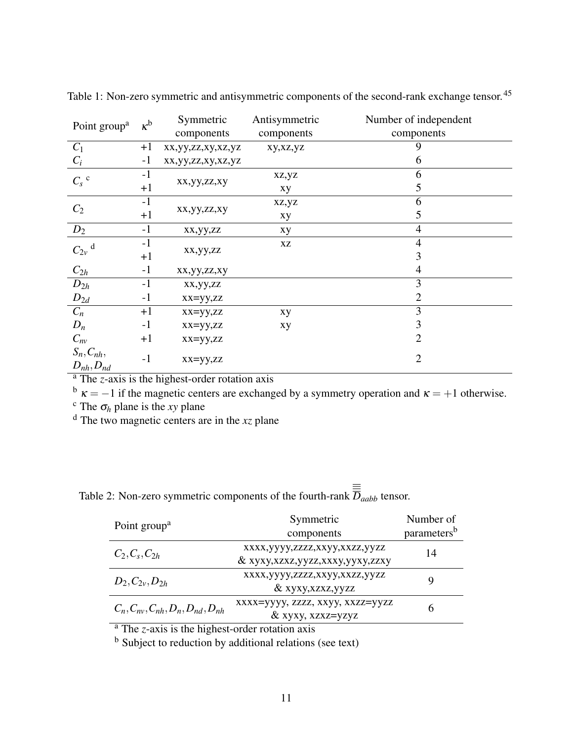| Point group <sup>a</sup>           | $\kappa^{\rm b}$               | Symmetric<br>components | Antisymmetric<br>components | Number of independent<br>components |
|------------------------------------|--------------------------------|-------------------------|-----------------------------|-------------------------------------|
| $C_1$                              | $+1$                           | xx,yy,zz,xy,xz,yz       | xy,xz,yz                    | 9                                   |
| $C_i$                              | $-1$                           | xx,yy,zz,xy,xz,yz       |                             | 6                                   |
| $C_s$ c                            | $-1$                           |                         | xz,yz                       | 6                                   |
|                                    | $+1$                           | xx,yy,zz,xy             | xy                          | 5                                   |
| $C_2$                              | $-1$                           |                         | xz,yz                       | 6                                   |
|                                    | xx,yy,zz,xy<br>$+1$<br>5<br>xy |                         |                             |                                     |
|                                    | $-1$                           | xx,yy,zz                | xy                          | $\overline{4}$                      |
|                                    | $-1$                           |                         | XZ                          | $\overline{4}$                      |
|                                    | $+1$                           | xx,yy,zz                |                             | 3                                   |
| $\frac{D_2}{C_{2v} \frac{d}{dx}}$  | $-1$                           | xx,yy,zz,xy             |                             | 4                                   |
| $D_{2h}$                           | $-1$                           | xx,yy,zz                |                             | 3                                   |
| $D_{2d}$                           | $-1$                           | $xx = yy, zz$           |                             | $\overline{2}$                      |
| $C_n$                              | $+1$                           | $xx = yy, zz$           | xy                          | 3                                   |
| $D_n$                              | $-1$                           | $xx = yy, zz$           | xy                          | 3                                   |
| $C_{nv}$                           | $+1$                           | $xx = yy, zz$           |                             | $\overline{2}$                      |
| $S_n, C_{nh},$<br>$D_{nh}, D_{nd}$ | $-1$                           | $xx = yy, zz$           |                             | $\overline{2}$                      |

Table 1: Non-zero symmetric and antisymmetric components of the second-rank exchange tensor.<sup>45</sup>

<sup>a</sup> The *z*-axis is the highest-order rotation axis

 $b \kappa = -1$  if the magnetic centers are exchanged by a symmetry operation and  $\kappa = +1$  otherwise.

<sup>c</sup> The  $\sigma_h$  plane is the *xy* plane

<sup>d</sup> The two magnetic centers are in the *xz* plane

| Table 2: Non-zero symmetric components of the fourth-rank $D_{aabb}$ tensor. |  |
|------------------------------------------------------------------------------|--|
|                                                                              |  |

|                                            | Symmetric                        | Number of               |  |
|--------------------------------------------|----------------------------------|-------------------------|--|
| Point group <sup>a</sup>                   | components                       | parameters <sup>b</sup> |  |
| $C_2, C_s, C_{2h}$                         | xxxx,yyyy,zzzz,xxyy,xxzz,yyzz    | 14                      |  |
|                                            | & xyxy,xzxz,yyzz,xxxy,yyxy,zzxy  |                         |  |
| $D_2, C_{2v}, D_{2h}$                      | xxxx,yyyy,zzzz,xxyy,xxzz,yyzz    | Q                       |  |
|                                            | & xyxy,xzxz,yyzz                 |                         |  |
| $C_n, C_{nv}, C_{nh}, D_n, D_{nd}, D_{nh}$ | xxxx=yyyy, zzzz, xxyy, xxzz=yyzz |                         |  |
|                                            | & xyxy, xzxz=yzyz                |                         |  |
|                                            |                                  |                         |  |

<sup>a</sup> The *z*-axis is the highest-order rotation axis

<sup>b</sup> Subject to reduction by additional relations (see text)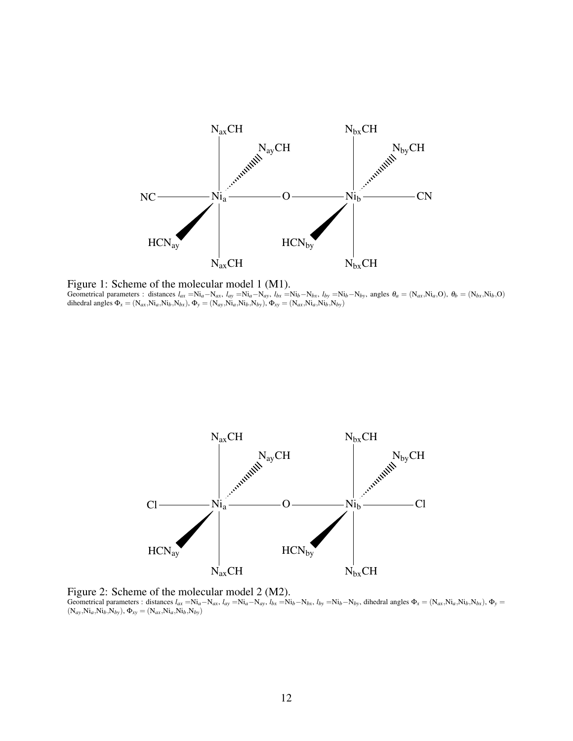

Figure 1: Scheme of the molecular model 1 (M1). Geometrical parameters : distances  $l_{ax} = Ni_a - N_{ax}$ ,  $l_{ay} = Ni_a - N_{ay}$ ,  $l_{bx} = Ni_b - N_{bx}$ ,  $l_{by} = Ni_b - N_{by}$ , angles  $\theta_a = (N_{ax}N_{a},O), \theta_b = (N_{bx}N_{b},O)$ dihedral angles  $\Phi_x = (N_{ax}, Ni_a, Ni_b, N_{bx})$ ,  $\Phi_y = (N_{ay}, Ni_a, Ni_b, N_{by})$ ,  $\Phi_{xy} = (N_{ax}, Ni_a, Ni_b, N_{by})$ 



Figure 2: Scheme of the molecular model 2 (M2). Geometrical parameters : distances  $l_{ax} = Ni_a - N_{ax}$ ,  $l_{ay} = Ni_a - N_{ay}$ ,  $l_{bx} = Ni_b - N_{bx}$ ,  $l_{by} = Ni_b - N_{by}$ , dihedral angles  $\Phi_x = (N_{ax}N_{a}N_{b}N_{bx})$ ,  $\Phi_y = (N_{ax}N_{b}N_{b}N_{b}N_{by})$  $(N_{ay},Ni_a,Ni_b,N_{by}), \Phi_{xy} = (N_{ax},Ni_a,Ni_b,N_{by})$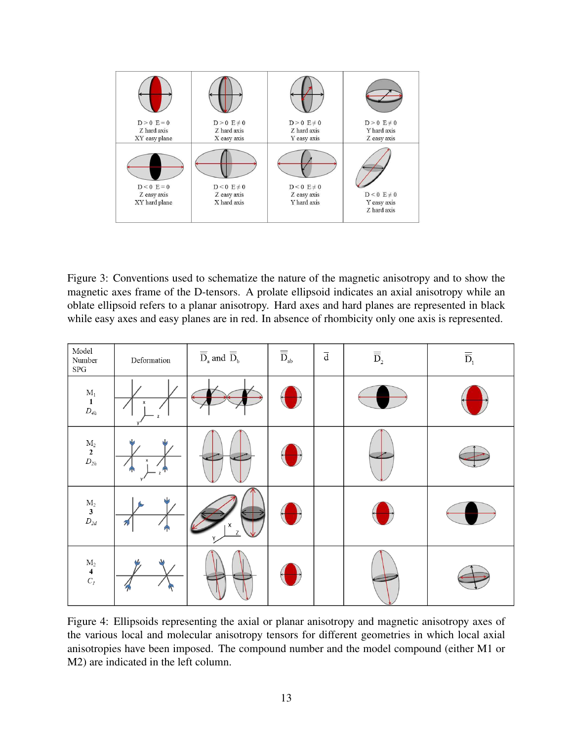

Figure 3: Conventions used to schematize the nature of the magnetic anisotropy and to show the magnetic axes frame of the D-tensors. A prolate ellipsoid indicates an axial anisotropy while an oblate ellipsoid refers to a planar anisotropy. Hard axes and hard planes are represented in black while easy axes and easy planes are in red. In absence of rhombicity only one axis is represented.

| $\operatorname{\mathsf{Model}}\nolimits$<br>Number<br>${\rm SPG}$   | Deformation | $\overline{\overline{D}}_{{\scriptscriptstyle \rm a}}$ and $\overline{\overline{D}}_{{\scriptscriptstyle \rm b}}$ | $\overline{\overline{D}}_{\mathsf{ab}}$ | $\overline{\text{d}}$ | $\overline{\overline{\rm D}}_{\scriptscriptstyle 2}$ | $\overline{\overline{\mathbf{D}}}_1$ |
|---------------------------------------------------------------------|-------------|-------------------------------------------------------------------------------------------------------------------|-----------------------------------------|-----------------------|------------------------------------------------------|--------------------------------------|
| $\mathbf{M}_1$<br>$\mathbf 1$<br>${\cal D}_{4h}$                    | x           |                                                                                                                   |                                         |                       |                                                      |                                      |
| $\begin{matrix} \mathbf{M}_2 \\ \mathbf{2} \\ D_{2h} \end{matrix}$  | x<br>и      |                                                                                                                   |                                         |                       |                                                      |                                      |
| $\begin{array}{c} \mathbf{M}_2 \\ \mathbf{3} \\ D_{2d} \end{array}$ | 키<br>л      | Χ<br>$\mathsf{Z}$                                                                                                 |                                         |                       |                                                      |                                      |
| $\mathbf{M}_2$<br>$\frac{4}{C_I}$                                   |             |                                                                                                                   |                                         |                       |                                                      |                                      |

Figure 4: Ellipsoids representing the axial or planar anisotropy and magnetic anisotropy axes of the various local and molecular anisotropy tensors for different geometries in which local axial anisotropies have been imposed. The compound number and the model compound (either M1 or M2) are indicated in the left column.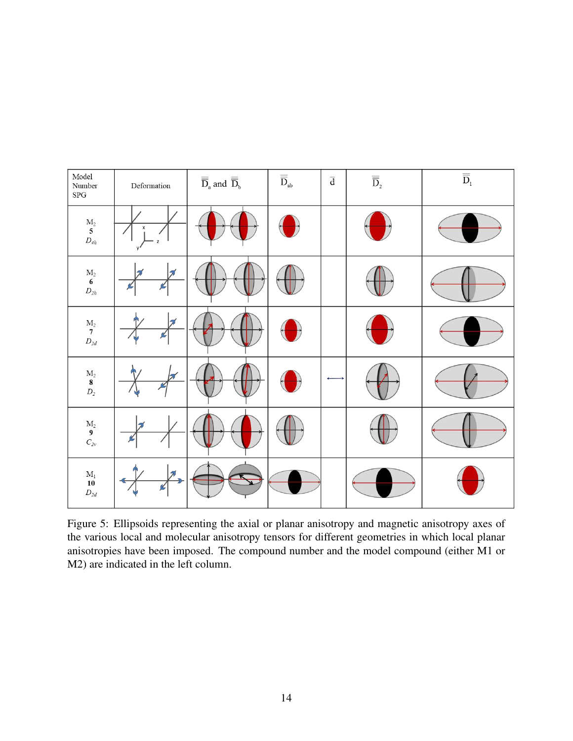

Figure 5: Ellipsoids representing the axial or planar anisotropy and magnetic anisotropy axes of the various local and molecular anisotropy tensors for different geometries in which local planar anisotropies have been imposed. The compound number and the model compound (either M1 or M2) are indicated in the left column.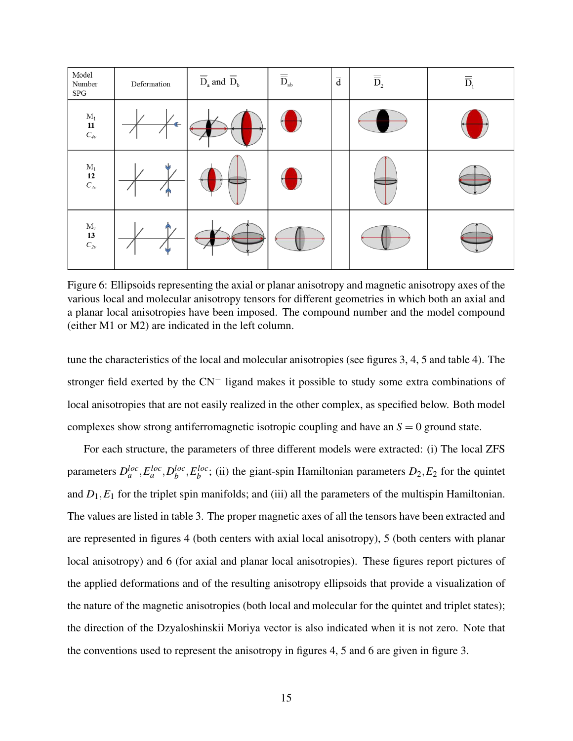| Model<br>Number<br>${\rm SPG}$                                       | Deformation  | $\overline{\overline{\rm{D}}}_{\rm{a}}$ and $\overline{\overline{\rm{D}}}_{\rm{b}}$ | $\overline{\overline{D}}_{\text{ab}}$ | $\overline{d}$ | $\overline{\overline{\rm D}}_{\scriptscriptstyle 2}$ | $\overline{\overline{D}}$ |  |
|----------------------------------------------------------------------|--------------|-------------------------------------------------------------------------------------|---------------------------------------|----------------|------------------------------------------------------|---------------------------|--|
| $\mathbf{M}_1$<br>$\prod_{C_{4v}}$                                   | $\leftarrow$ |                                                                                     |                                       |                |                                                      |                           |  |
| $\begin{array}{c} \mathbf{M}_1 \\ \mathbf{12} \\ C_{2v} \end{array}$ |              |                                                                                     |                                       |                |                                                      |                           |  |
| $\begin{array}{c} \mathbf{M}_2 \\ \mathbf{13} \\ C_{2v} \end{array}$ |              |                                                                                     |                                       |                |                                                      |                           |  |

Figure 6: Ellipsoids representing the axial or planar anisotropy and magnetic anisotropy axes of the various local and molecular anisotropy tensors for different geometries in which both an axial and a planar local anisotropies have been imposed. The compound number and the model compound (either M1 or M2) are indicated in the left column.

tune the characteristics of the local and molecular anisotropies (see figures 3, 4, 5 and table 4). The stronger field exerted by the CN<sup>−</sup> ligand makes it possible to study some extra combinations of local anisotropies that are not easily realized in the other complex, as specified below. Both model complexes show strong antiferromagnetic isotropic coupling and have an  $S = 0$  ground state.

For each structure, the parameters of three different models were extracted: (i) The local ZFS parameters  $D_a^{loc}, E_a^{loc}, D_b^{loc}$ *b* ,*E loc*  $b^{loc}$ ; (ii) the giant-spin Hamiltonian parameters  $D_2$ ,  $E_2$  for the quintet and  $D_1$ ,  $E_1$  for the triplet spin manifolds; and (iii) all the parameters of the multispin Hamiltonian. The values are listed in table 3. The proper magnetic axes of all the tensors have been extracted and are represented in figures 4 (both centers with axial local anisotropy), 5 (both centers with planar local anisotropy) and 6 (for axial and planar local anisotropies). These figures report pictures of the applied deformations and of the resulting anisotropy ellipsoids that provide a visualization of the nature of the magnetic anisotropies (both local and molecular for the quintet and triplet states); the direction of the Dzyaloshinskii Moriya vector is also indicated when it is not zero. Note that the conventions used to represent the anisotropy in figures 4, 5 and 6 are given in figure 3.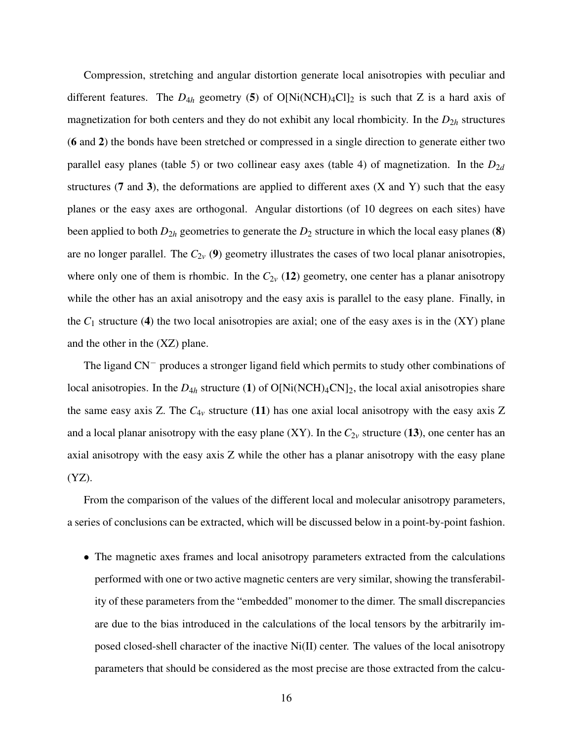Compression, stretching and angular distortion generate local anisotropies with peculiar and different features. The  $D_{4h}$  geometry (5) of O[Ni(NCH)<sub>4</sub>Cl]<sub>2</sub> is such that Z is a hard axis of magnetization for both centers and they do not exhibit any local rhombicity. In the  $D_{2h}$  structures (6 and 2) the bonds have been stretched or compressed in a single direction to generate either two parallel easy planes (table 5) or two collinear easy axes (table 4) of magnetization. In the  $D_{2d}$ structures  $(7 \text{ and } 3)$ , the deformations are applied to different axes  $(X \text{ and } Y)$  such that the easy planes or the easy axes are orthogonal. Angular distortions (of 10 degrees on each sites) have been applied to both  $D_{2h}$  geometries to generate the  $D_2$  structure in which the local easy planes (8) are no longer parallel. The  $C_{2v}$  (9) geometry illustrates the cases of two local planar anisotropies, where only one of them is rhombic. In the  $C_{2\nu}$  (12) geometry, one center has a planar anisotropy while the other has an axial anisotropy and the easy axis is parallel to the easy plane. Finally, in the  $C_1$  structure (4) the two local anisotropies are axial; one of the easy axes is in the  $(XY)$  plane and the other in the (XZ) plane.

The ligand CN<sup>−</sup> produces a stronger ligand field which permits to study other combinations of local anisotropies. In the  $D_{4h}$  structure (1) of  $O[Ni(NCH)_4CN]_2$ , the local axial anisotropies share the same easy axis Z. The  $C_{4v}$  structure (11) has one axial local anisotropy with the easy axis Z and a local planar anisotropy with the easy plane  $(XY)$ . In the  $C_{2v}$  structure (13), one center has an axial anisotropy with the easy axis Z while the other has a planar anisotropy with the easy plane (YZ).

From the comparison of the values of the different local and molecular anisotropy parameters, a series of conclusions can be extracted, which will be discussed below in a point-by-point fashion.

• The magnetic axes frames and local anisotropy parameters extracted from the calculations performed with one or two active magnetic centers are very similar, showing the transferability of these parameters from the "embedded" monomer to the dimer. The small discrepancies are due to the bias introduced in the calculations of the local tensors by the arbitrarily imposed closed-shell character of the inactive Ni(II) center. The values of the local anisotropy parameters that should be considered as the most precise are those extracted from the calcu-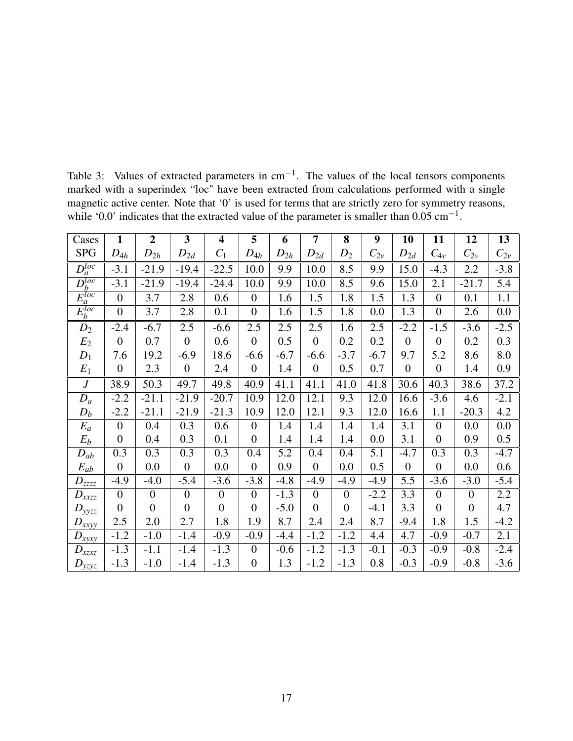| Cases                                          | $\mathbf{1}$   | $\overline{2}$ | $\overline{\mathbf{3}}$ | $\overline{\mathbf{4}}$ | 5                | 6        | $\overline{7}$   | 8                | 9          | 10               | 11               | 12             | 13       |
|------------------------------------------------|----------------|----------------|-------------------------|-------------------------|------------------|----------|------------------|------------------|------------|------------------|------------------|----------------|----------|
| <b>SPG</b>                                     | $D_{4h}$       | $D_{2h}$       | $D_{2d}$                | $C_1$                   | $D_{4h}$         | $D_{2h}$ | $D_{2d}$         | $D_2$            | $C_{2\nu}$ | $D_{2d}$         | $C_{4v}$         | $C_{2v}$       | $C_{2v}$ |
| $D_a^{loc}$                                    | $-3.1$         | $-21.9$        | $-19.4$                 | $-22.5$                 | 10.0             | 9.9      | 10.0             | 8.5              | 9.9        | 15.0             | $-4.3$           | 2.2            | $-3.8$   |
| $\overline{D^{loc}}$                           | $-3.1$         | $-21.9$        | $-19.4$                 | $-24.4$                 | 10.0             | 9.9      | 10.0             | 8.5              | 9.6        | 15.0             | 2.1              | $-21.7$        | 5.4      |
| $E_a^{loc}$                                    | $\theta$       | 3.7            | 2.8                     | 0.6                     | $\mathbf{0}$     | 1.6      | 1.5              | 1.8              | 1.5        | 1.3              | $\overline{0}$   | 0.1            | 1.1      |
| $E_b^{loc}$                                    | $\overline{0}$ | 3.7            | 2.8                     | 0.1                     | $\boldsymbol{0}$ | 1.6      | 1.5              | 1.8              | 0.0        | 1.3              | $\boldsymbol{0}$ | 2.6            | 0.0      |
| $D_2$                                          | $-2.4$         | $-6.7$         | 2.5                     | $-6.6$                  | 2.5              | 2.5      | 2.5              | 1.6              | 2.5        | $-2.2$           | $-1.5$           | $-3.6$         | $-2.5$   |
| $E_2$                                          | $\overline{0}$ | 0.7            | $\overline{0}$          | 0.6                     | $\boldsymbol{0}$ | 0.5      | $\overline{0}$   | 0.2              | 0.2        | $\boldsymbol{0}$ | $\boldsymbol{0}$ | 0.2            | 0.3      |
| $D_1$                                          | 7.6            | 19.2           | $-6.9$                  | 18.6                    | $-6.6$           | $-6.7$   | $-6.6$           | $-3.7$           | $-6.7$     | 9.7              | 5.2              | 8.6            | 8.0      |
| $E_1$                                          | $\theta$       | 2.3            | $\overline{0}$          | 2.4                     | $\mathbf{0}$     | 1.4      | $\boldsymbol{0}$ | 0.5              | 0.7        | $\overline{0}$   | $\boldsymbol{0}$ | 1.4            | 0.9      |
| $\boldsymbol{J}$                               | 38.9           | 50.3           | 49.7                    | 49.8                    | 40.9             | 41.1     | 41.1             | 41.0             | 41.8       | 30.6             | 40.3             | 38.6           | 37.2     |
| $D_a$                                          | $-2.2$         | $-21.1$        | $-21.9$                 | $-20.7$                 | 10.9             | 12.0     | 12.1             | 9.3              | 12.0       | 16.6             | $-3.6$           | 4.6            | $-2.1$   |
| $D_b$                                          | $-2.2$         | $-21.1$        | $-21.9$                 | $-21.3$                 | 10.9             | 12.0     | 12.1             | 9.3              | 12.0       | 16.6             | 1.1              | $-20.3$        | 4.2      |
| $E_a$                                          | $\overline{0}$ | 0.4            | 0.3                     | 0.6                     | $\overline{0}$   | 1.4      | 1.4              | 1.4              | 1.4        | 3.1              | $\theta$         | 0.0            | 0.0      |
| $E_b$                                          | $\overline{0}$ | 0.4            | 0.3                     | 0.1                     | $\overline{0}$   | 1.4      | 1.4              | 1.4              | 0.0        | 3.1              | $\overline{0}$   | 0.9            | 0.5      |
| $D_{ab}$                                       | 0.3            | 0.3            | 0.3                     | 0.3                     | 0.4              | 5.2      | 0.4              | 0.4              | 5.1        | $-4.7$           | 0.3              | 0.3            | $-4.7$   |
| $E_{ab}$                                       | $\overline{0}$ | 0.0            | $\overline{0}$          | 0.0                     | $\theta$         | 0.9      | $\overline{0}$   | $0.0\,$          | 0.5        | $\overline{0}$   | $\theta$         | 0.0            | 0.6      |
| $D_{zzzz}$                                     | $-4.9$         | $-4.0$         | $-5.4$                  | $-3.6$                  | $-3.8$           | $-4.8$   | $-4.9$           | $-4.9$           | $-4.9$     | 5.5              | $-3.6$           | $-3.0$         | $-5.4$   |
| $D_{xxzz}$                                     | $\theta$       | $\overline{0}$ | $\boldsymbol{0}$        | $\boldsymbol{0}$        | $\overline{0}$   | $-1.3$   | $\overline{0}$   | $\boldsymbol{0}$ | $-2.2$     | 3.3              | $\boldsymbol{0}$ | $\overline{0}$ | 2.2      |
| $D_{yyzz}$                                     | $\overline{0}$ | $\overline{0}$ | $\boldsymbol{0}$        | $\overline{0}$          | $\theta$         | $-5.0$   | $\overline{0}$   | $\boldsymbol{0}$ | $-4.1$     | 3.3              | $\theta$         | $\overline{0}$ | 4.7      |
| $D_{x\underline{x}\underline{y}\underline{y}}$ | 2.5            | 2.0            | 2.7                     | 1.8                     | 1.9              | 8.7      | 2.4              | 2.4              | 8.7        | $-9.4$           | 1.8              | 1.5            | $-4.2$   |
| $D_{xyxy}$                                     | $-1.2$         | $-1.0$         | $-1.4$                  | $-0.9$                  | $-0.9$           | $-4.4$   | $-1.2$           | $-1.2$           | 4.4        | 4.7              | $-0.9$           | $-0.7$         | 2.1      |
| $D_{xzxz}$                                     | $-1.3$         | $-1.1$         | $-1.4$                  | $-1.3$                  | $\theta$         | $-0.6$   | $-1.2$           | $-1.3$           | $-0.1$     | $-0.3$           | $-0.9$           | $-0.8$         | $-2.4$   |
| $D_{yzyz}$                                     | $-1.3$         | $-1.0$         | $-1.4$                  | $-1.3$                  | $\overline{0}$   | 1.3      | $-1.2$           | $-1.3$           | 0.8        | $-0.3$           | $-0.9$           | $-0.8$         | $-3.6$   |

Table 3: Values of extracted parameters in  $cm^{-1}$ . The values of the local tensors components marked with a superindex "loc" have been extracted from calculations performed with a single magnetic active center. Note that '0' is used for terms that are strictly zero for symmetry reasons, while '0.0' indicates that the extracted value of the parameter is smaller than  $0.05 \text{ cm}^{-1}$ .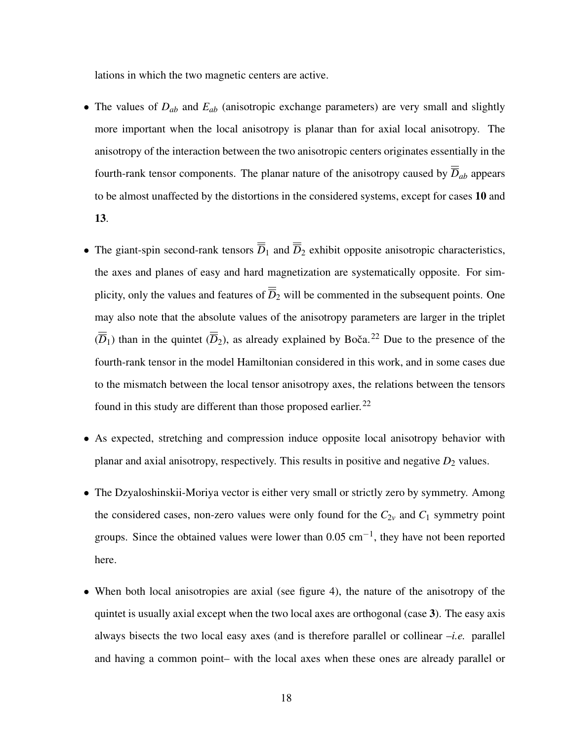lations in which the two magnetic centers are active.

- The values of *Dab* and *Eab* (anisotropic exchange parameters) are very small and slightly more important when the local anisotropy is planar than for axial local anisotropy. The anisotropy of the interaction between the two anisotropic centers originates essentially in the fourth-rank tensor components. The planar nature of the anisotropy caused by  $\overline{D}_{ab}$  appears to be almost unaffected by the distortions in the considered systems, except for cases 10 and 13.
- The giant-spin second-rank tensors  $\overline{D}_1$  and  $\overline{D}_2$  exhibit opposite anisotropic characteristics, the axes and planes of easy and hard magnetization are systematically opposite. For simplicity, only the values and features of  $\overline{\overline{D}}_2$  will be commented in the subsequent points. One may also note that the absolute values of the anisotropy parameters are larger in the triplet  $(\overline{\overline{D}}_1)$  than in the quintet  $(\overline{\overline{D}}_2)$ , as already explained by Boča.<sup>22</sup> Due to the presence of the fourth-rank tensor in the model Hamiltonian considered in this work, and in some cases due to the mismatch between the local tensor anisotropy axes, the relations between the tensors found in this study are different than those proposed earlier.<sup>22</sup>
- As expected, stretching and compression induce opposite local anisotropy behavior with planar and axial anisotropy, respectively. This results in positive and negative  $D_2$  values.
- The Dzyaloshinskii-Moriya vector is either very small or strictly zero by symmetry. Among the considered cases, non-zero values were only found for the  $C_{2v}$  and  $C_1$  symmetry point groups. Since the obtained values were lower than  $0.05 \text{ cm}^{-1}$ , they have not been reported here.
- When both local anisotropies are axial (see figure 4), the nature of the anisotropy of the quintet is usually axial except when the two local axes are orthogonal (case 3). The easy axis always bisects the two local easy axes (and is therefore parallel or collinear –*i.e.* parallel and having a common point– with the local axes when these ones are already parallel or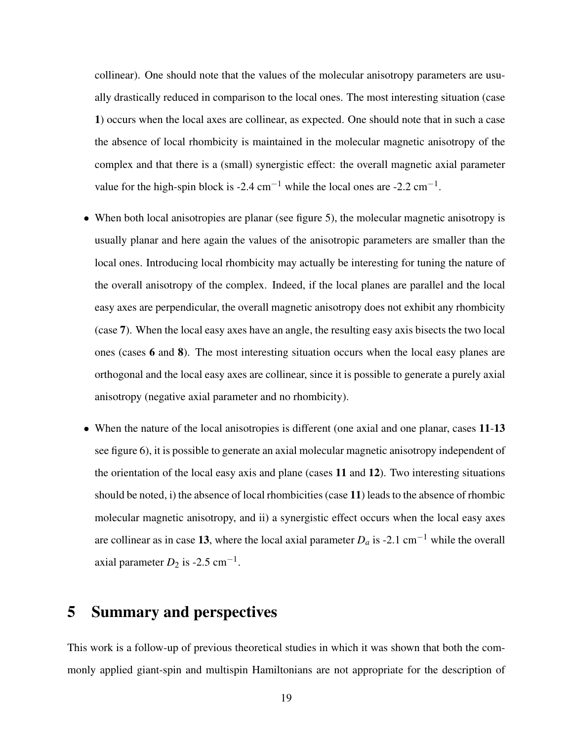collinear). One should note that the values of the molecular anisotropy parameters are usually drastically reduced in comparison to the local ones. The most interesting situation (case 1) occurs when the local axes are collinear, as expected. One should note that in such a case the absence of local rhombicity is maintained in the molecular magnetic anisotropy of the complex and that there is a (small) synergistic effect: the overall magnetic axial parameter value for the high-spin block is -2.4 cm<sup>-1</sup> while the local ones are -2.2 cm<sup>-1</sup>.

- When both local anisotropies are planar (see figure 5), the molecular magnetic anisotropy is usually planar and here again the values of the anisotropic parameters are smaller than the local ones. Introducing local rhombicity may actually be interesting for tuning the nature of the overall anisotropy of the complex. Indeed, if the local planes are parallel and the local easy axes are perpendicular, the overall magnetic anisotropy does not exhibit any rhombicity (case 7). When the local easy axes have an angle, the resulting easy axis bisects the two local ones (cases 6 and 8). The most interesting situation occurs when the local easy planes are orthogonal and the local easy axes are collinear, since it is possible to generate a purely axial anisotropy (negative axial parameter and no rhombicity).
- When the nature of the local anisotropies is different (one axial and one planar, cases 11-13) see figure 6), it is possible to generate an axial molecular magnetic anisotropy independent of the orientation of the local easy axis and plane (cases 11 and 12). Two interesting situations should be noted, i) the absence of local rhombicities (case 11) leads to the absence of rhombic molecular magnetic anisotropy, and ii) a synergistic effect occurs when the local easy axes are collinear as in case 13, where the local axial parameter  $D_a$  is -2.1 cm<sup>-1</sup> while the overall axial parameter  $D_2$  is -2.5 cm<sup>-1</sup>.

# 5 Summary and perspectives

This work is a follow-up of previous theoretical studies in which it was shown that both the commonly applied giant-spin and multispin Hamiltonians are not appropriate for the description of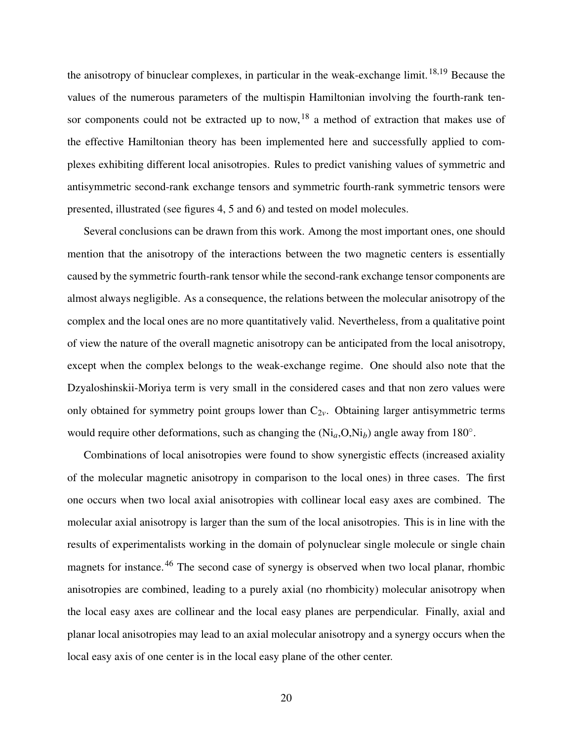the anisotropy of binuclear complexes, in particular in the weak-exchange limit.<sup>18,19</sup> Because the values of the numerous parameters of the multispin Hamiltonian involving the fourth-rank tensor components could not be extracted up to now,  $18$  a method of extraction that makes use of the effective Hamiltonian theory has been implemented here and successfully applied to complexes exhibiting different local anisotropies. Rules to predict vanishing values of symmetric and antisymmetric second-rank exchange tensors and symmetric fourth-rank symmetric tensors were presented, illustrated (see figures 4, 5 and 6) and tested on model molecules.

Several conclusions can be drawn from this work. Among the most important ones, one should mention that the anisotropy of the interactions between the two magnetic centers is essentially caused by the symmetric fourth-rank tensor while the second-rank exchange tensor components are almost always negligible. As a consequence, the relations between the molecular anisotropy of the complex and the local ones are no more quantitatively valid. Nevertheless, from a qualitative point of view the nature of the overall magnetic anisotropy can be anticipated from the local anisotropy, except when the complex belongs to the weak-exchange regime. One should also note that the Dzyaloshinskii-Moriya term is very small in the considered cases and that non zero values were only obtained for symmetry point groups lower than  $C_{2v}$ . Obtaining larger antisymmetric terms would require other deformations, such as changing the  $(Ni_a, O, Ni_b)$  angle away from 180<sup>°</sup>.

Combinations of local anisotropies were found to show synergistic effects (increased axiality of the molecular magnetic anisotropy in comparison to the local ones) in three cases. The first one occurs when two local axial anisotropies with collinear local easy axes are combined. The molecular axial anisotropy is larger than the sum of the local anisotropies. This is in line with the results of experimentalists working in the domain of polynuclear single molecule or single chain magnets for instance.<sup>46</sup> The second case of synergy is observed when two local planar, rhombic anisotropies are combined, leading to a purely axial (no rhombicity) molecular anisotropy when the local easy axes are collinear and the local easy planes are perpendicular. Finally, axial and planar local anisotropies may lead to an axial molecular anisotropy and a synergy occurs when the local easy axis of one center is in the local easy plane of the other center.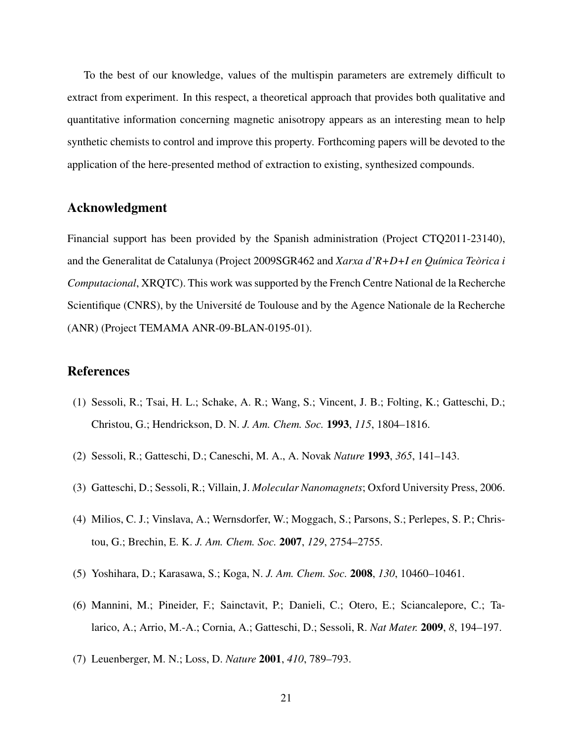To the best of our knowledge, values of the multispin parameters are extremely difficult to extract from experiment. In this respect, a theoretical approach that provides both qualitative and quantitative information concerning magnetic anisotropy appears as an interesting mean to help synthetic chemists to control and improve this property. Forthcoming papers will be devoted to the application of the here-presented method of extraction to existing, synthesized compounds.

#### Acknowledgment

Financial support has been provided by the Spanish administration (Project CTQ2011-23140), and the Generalitat de Catalunya (Project 2009SGR462 and *Xarxa d'R+D+I en Química Teòrica i Computacional*, XRQTC). This work was supported by the French Centre National de la Recherche Scientifique (CNRS), by the Université de Toulouse and by the Agence Nationale de la Recherche (ANR) (Project TEMAMA ANR-09-BLAN-0195-01).

#### References

- (1) Sessoli, R.; Tsai, H. L.; Schake, A. R.; Wang, S.; Vincent, J. B.; Folting, K.; Gatteschi, D.; Christou, G.; Hendrickson, D. N. *J. Am. Chem. Soc.* 1993, *115*, 1804–1816.
- (2) Sessoli, R.; Gatteschi, D.; Caneschi, M. A., A. Novak *Nature* 1993, *365*, 141–143.
- (3) Gatteschi, D.; Sessoli, R.; Villain, J. *Molecular Nanomagnets*; Oxford University Press, 2006.
- (4) Milios, C. J.; Vinslava, A.; Wernsdorfer, W.; Moggach, S.; Parsons, S.; Perlepes, S. P.; Christou, G.; Brechin, E. K. *J. Am. Chem. Soc.* 2007, *129*, 2754–2755.
- (5) Yoshihara, D.; Karasawa, S.; Koga, N. *J. Am. Chem. Soc.* 2008, *130*, 10460–10461.
- (6) Mannini, M.; Pineider, F.; Sainctavit, P.; Danieli, C.; Otero, E.; Sciancalepore, C.; Talarico, A.; Arrio, M.-A.; Cornia, A.; Gatteschi, D.; Sessoli, R. *Nat Mater.* 2009, *8*, 194–197.
- (7) Leuenberger, M. N.; Loss, D. *Nature* 2001, *410*, 789–793.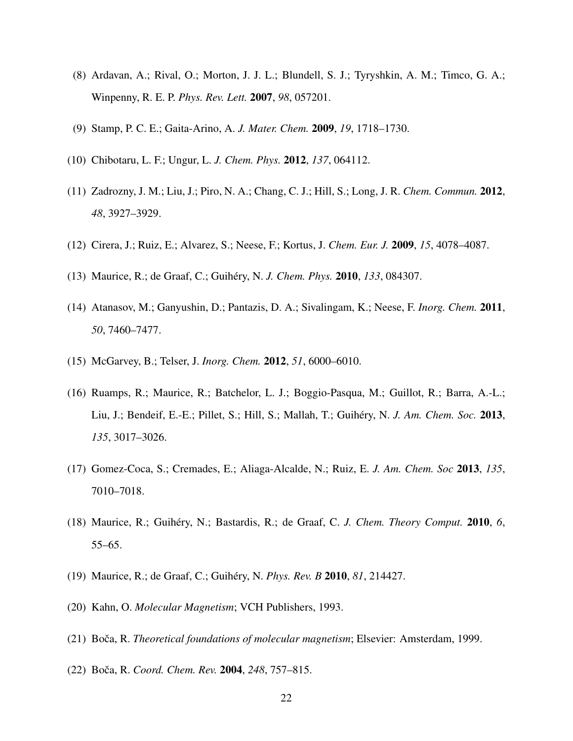- (8) Ardavan, A.; Rival, O.; Morton, J. J. L.; Blundell, S. J.; Tyryshkin, A. M.; Timco, G. A.; Winpenny, R. E. P. *Phys. Rev. Lett.* 2007, *98*, 057201.
- (9) Stamp, P. C. E.; Gaita-Arino, A. *J. Mater. Chem.* 2009, *19*, 1718–1730.
- (10) Chibotaru, L. F.; Ungur, L. *J. Chem. Phys.* 2012, *137*, 064112.
- (11) Zadrozny, J. M.; Liu, J.; Piro, N. A.; Chang, C. J.; Hill, S.; Long, J. R. *Chem. Commun.* 2012, *48*, 3927–3929.
- (12) Cirera, J.; Ruiz, E.; Alvarez, S.; Neese, F.; Kortus, J. *Chem. Eur. J.* 2009, *15*, 4078–4087.
- (13) Maurice, R.; de Graaf, C.; Guihéry, N. *J. Chem. Phys.* 2010, *133*, 084307.
- (14) Atanasov, M.; Ganyushin, D.; Pantazis, D. A.; Sivalingam, K.; Neese, F. *Inorg. Chem.* 2011, *50*, 7460–7477.
- (15) McGarvey, B.; Telser, J. *Inorg. Chem.* 2012, *51*, 6000–6010.
- (16) Ruamps, R.; Maurice, R.; Batchelor, L. J.; Boggio-Pasqua, M.; Guillot, R.; Barra, A.-L.; Liu, J.; Bendeif, E.-E.; Pillet, S.; Hill, S.; Mallah, T.; Guihéry, N. *J. Am. Chem. Soc.* 2013, *135*, 3017–3026.
- (17) Gomez-Coca, S.; Cremades, E.; Aliaga-Alcalde, N.; Ruiz, E. *J. Am. Chem. Soc* 2013, *135*, 7010–7018.
- (18) Maurice, R.; Guihéry, N.; Bastardis, R.; de Graaf, C. *J. Chem. Theory Comput.* 2010, *6*, 55–65.
- (19) Maurice, R.; de Graaf, C.; Guihéry, N. *Phys. Rev. B* 2010, *81*, 214427.
- (20) Kahn, O. *Molecular Magnetism*; VCH Publishers, 1993.
- (21) Boča, R. *Theoretical foundations of molecular magnetism*; Elsevier: Amsterdam, 1999.
- (22) Boca, R. ˇ *Coord. Chem. Rev.* 2004, *248*, 757–815.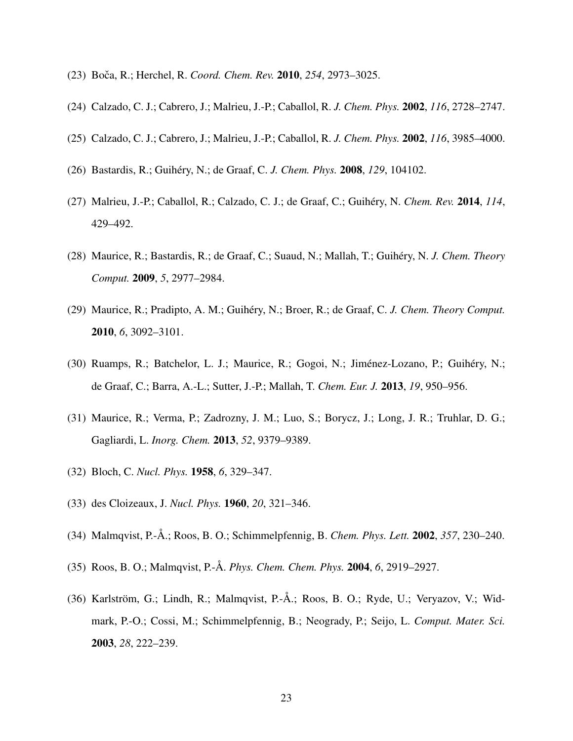- (23) Boca, R.; Herchel, R. ˇ *Coord. Chem. Rev.* 2010, *254*, 2973–3025.
- (24) Calzado, C. J.; Cabrero, J.; Malrieu, J.-P.; Caballol, R. *J. Chem. Phys.* 2002, *116*, 2728–2747.
- (25) Calzado, C. J.; Cabrero, J.; Malrieu, J.-P.; Caballol, R. *J. Chem. Phys.* 2002, *116*, 3985–4000.
- (26) Bastardis, R.; Guihéry, N.; de Graaf, C. *J. Chem. Phys.* 2008, *129*, 104102.
- (27) Malrieu, J.-P.; Caballol, R.; Calzado, C. J.; de Graaf, C.; Guihéry, N. *Chem. Rev.* 2014, *114*, 429–492.
- (28) Maurice, R.; Bastardis, R.; de Graaf, C.; Suaud, N.; Mallah, T.; Guihéry, N. *J. Chem. Theory Comput.* 2009, *5*, 2977–2984.
- (29) Maurice, R.; Pradipto, A. M.; Guihéry, N.; Broer, R.; de Graaf, C. *J. Chem. Theory Comput.* 2010, *6*, 3092–3101.
- (30) Ruamps, R.; Batchelor, L. J.; Maurice, R.; Gogoi, N.; Jiménez-Lozano, P.; Guihéry, N.; de Graaf, C.; Barra, A.-L.; Sutter, J.-P.; Mallah, T. *Chem. Eur. J.* 2013, *19*, 950–956.
- (31) Maurice, R.; Verma, P.; Zadrozny, J. M.; Luo, S.; Borycz, J.; Long, J. R.; Truhlar, D. G.; Gagliardi, L. *Inorg. Chem.* 2013, *52*, 9379–9389.
- (32) Bloch, C. *Nucl. Phys.* 1958, *6*, 329–347.
- (33) des Cloizeaux, J. *Nucl. Phys.* 1960, *20*, 321–346.
- (34) Malmqvist, P.-Å.; Roos, B. O.; Schimmelpfennig, B. *Chem. Phys. Lett.* 2002, *357*, 230–240.
- (35) Roos, B. O.; Malmqvist, P.-Å. *Phys. Chem. Chem. Phys.* 2004, *6*, 2919–2927.
- (36) Karlström, G.; Lindh, R.; Malmqvist, P.-Å.; Roos, B. O.; Ryde, U.; Veryazov, V.; Widmark, P.-O.; Cossi, M.; Schimmelpfennig, B.; Neogrady, P.; Seijo, L. *Comput. Mater. Sci.* 2003, *28*, 222–239.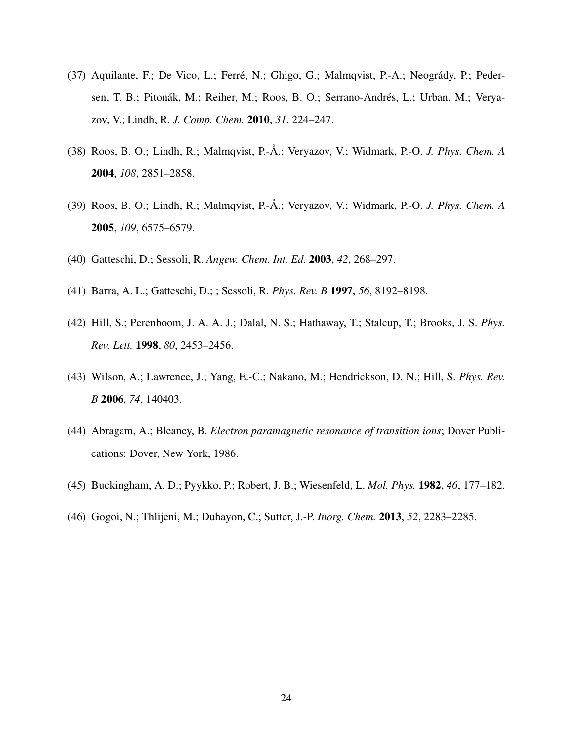- (37) Aquilante, F.; De Vico, L.; Ferré, N.; Ghigo, G.; Malmqvist, P.-A.; Neogrády, P.; Pedersen, T. B.; Pitonák, M.; Reiher, M.; Roos, B. O.; Serrano-Andrés, L.; Urban, M.; Veryazov, V.; Lindh, R. *J. Comp. Chem.* 2010, *31*, 224–247.
- (38) Roos, B. O.; Lindh, R.; Malmqvist, P.-Å.; Veryazov, V.; Widmark, P.-O. *J. Phys. Chem. A* 2004, *108*, 2851–2858.
- (39) Roos, B. O.; Lindh, R.; Malmqvist, P.-Å.; Veryazov, V.; Widmark, P.-O. *J. Phys. Chem. A* 2005, *109*, 6575–6579.
- (40) Gatteschi, D.; Sessoli, R. *Angew. Chem. Int. Ed.* 2003, *42*, 268–297.
- (41) Barra, A. L.; Gatteschi, D.; ; Sessoli, R. *Phys. Rev. B* 1997, *56*, 8192–8198.
- (42) Hill, S.; Perenboom, J. A. A. J.; Dalal, N. S.; Hathaway, T.; Stalcup, T.; Brooks, J. S. *Phys. Rev. Lett.* 1998, *80*, 2453–2456.
- (43) Wilson, A.; Lawrence, J.; Yang, E.-C.; Nakano, M.; Hendrickson, D. N.; Hill, S. *Phys. Rev. B* 2006, *74*, 140403.
- (44) Abragam, A.; Bleaney, B. *Electron paramagnetic resonance of transition ions*; Dover Publications: Dover, New York, 1986.
- (45) Buckingham, A. D.; Pyykko, P.; Robert, J. B.; Wiesenfeld, L. *Mol. Phys.* 1982, *46*, 177–182.
- (46) Gogoi, N.; Thlijeni, M.; Duhayon, C.; Sutter, J.-P. *Inorg. Chem.* 2013, *52*, 2283–2285.